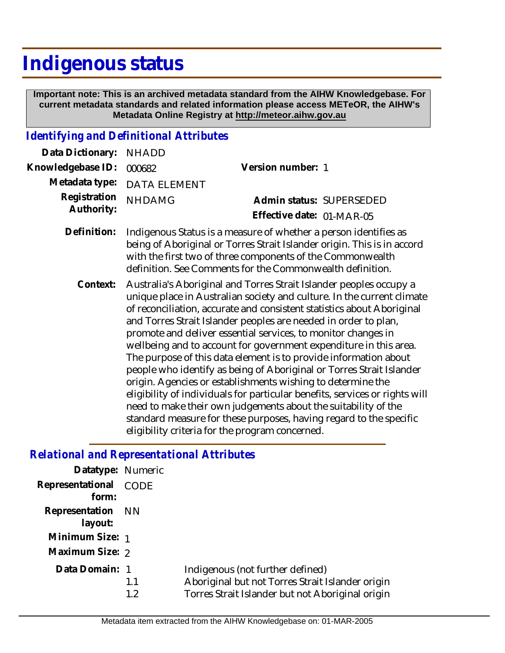# **Indigenous status**

 **Important note: This is an archived metadata standard from the AIHW Knowledgebase. For current metadata standards and related information please access METeOR, the AIHW's Metadata Online Registry at http://meteor.aihw.gov.au**

#### *Identifying and Definitional Attributes*

| Data Dictionary: NHADD     |                                                                                                                                                                                                                                                                        |                           |
|----------------------------|------------------------------------------------------------------------------------------------------------------------------------------------------------------------------------------------------------------------------------------------------------------------|---------------------------|
| Knowledgebase ID:          | 000682                                                                                                                                                                                                                                                                 | Version number: 1         |
| Metadata type:             | <b>DATA ELEMENT</b>                                                                                                                                                                                                                                                    |                           |
| Registration<br>Authority: | <b>NHDAMG</b>                                                                                                                                                                                                                                                          | Admin status: SUPERSEDED  |
|                            |                                                                                                                                                                                                                                                                        | Effective date: 01-MAR-05 |
| Definition:                | Indigenous Status is a measure of whether a person identifies as<br>being of Aboriginal or Torres Strait Islander origin. This is in accord<br>with the first two of three components of the Commonwealth<br>definition. See Comments for the Commonwealth definition. |                           |

Australia's Aboriginal and Torres Strait Islander peoples occupy a unique place in Australian society and culture. In the current climate of reconciliation, accurate and consistent statistics about Aboriginal and Torres Strait Islander peoples are needed in order to plan, promote and deliver essential services, to monitor changes in wellbeing and to account for government expenditure in this area. The purpose of this data element is to provide information about people who identify as being of Aboriginal or Torres Strait Islander origin. Agencies or establishments wishing to determine the eligibility of individuals for particular benefits, services or rights will need to make their own judgements about the suitability of the standard measure for these purposes, having regard to the specific eligibility criteria for the program concerned. **Context:**

#### *Relational and Representational Attributes*

| Datatype: Numeric            |             |                                                                                                                                          |
|------------------------------|-------------|------------------------------------------------------------------------------------------------------------------------------------------|
| Representational<br>form:    | <b>CODE</b> |                                                                                                                                          |
| Representation NN<br>layout: |             |                                                                                                                                          |
| Minimum Size: 1              |             |                                                                                                                                          |
| Maximum Size: 2              |             |                                                                                                                                          |
| Data Domain: 1               | 1.1<br>1.2  | Indigenous (not further defined)<br>Aboriginal but not Torres Strait Islander origin<br>Torres Strait Islander but not Aboriginal origin |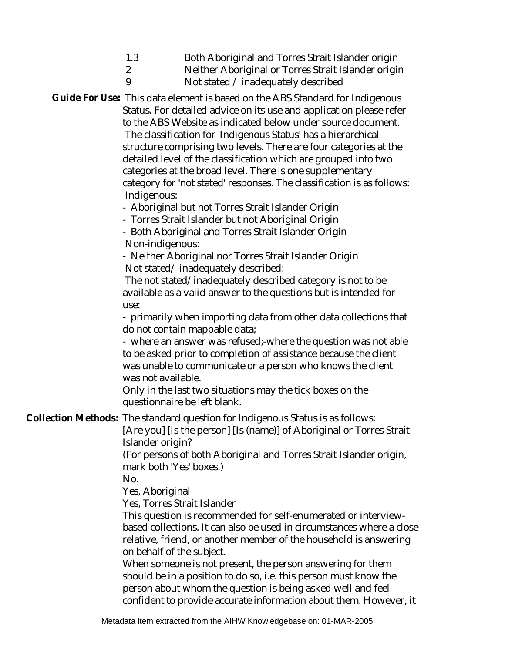| 1.3 | Both Aboriginal and Torres Strait Islander origin |
|-----|---------------------------------------------------|
|-----|---------------------------------------------------|

- 2 9 Neither Aboriginal or Torres Strait Islander origin
	- Not stated / inadequately described

Guide For Use: This data element is based on the ABS Standard for Indigenous Status. For detailed advice on its use and application please refer to the ABS Website as indicated below under source document. The classification for 'Indigenous Status' has a hierarchical structure comprising two levels. There are four categories at the detailed level of the classification which are grouped into two categories at the broad level. There is one supplementary category for 'not stated' responses. The classification is as follows: Indigenous:

- Aboriginal but not Torres Strait Islander Origin

- Torres Strait Islander but not Aboriginal Origin

- Both Aboriginal and Torres Strait Islander Origin Non-indigenous:

- Neither Aboriginal nor Torres Strait Islander Origin Not stated/ inadequately described:

 The not stated/inadequately described category is not to be available as a valid answer to the questions but is intended for use:

- primarily when importing data from other data collections that do not contain mappable data;

- where an answer was refused;-where the question was not able to be asked prior to completion of assistance because the client was unable to communicate or a person who knows the client was not available.

Only in the last two situations may the tick boxes on the questionnaire be left blank.

Collection Methods: The standard question for Indigenous Status is as follows:

[Are you] [Is the person] [Is (name)] of Aboriginal or Torres Strait Islander origin?

(For persons of both Aboriginal and Torres Strait Islander origin, mark both 'Yes' boxes.)

No.

Yes, Aboriginal

Yes, Torres Strait Islander

This question is recommended for self-enumerated or interviewbased collections. It can also be used in circumstances where a close relative, friend, or another member of the household is answering on behalf of the subject.

When someone is not present, the person answering for them should be in a position to do so, i.e. this person must know the person about whom the question is being asked well and feel confident to provide accurate information about them. However, it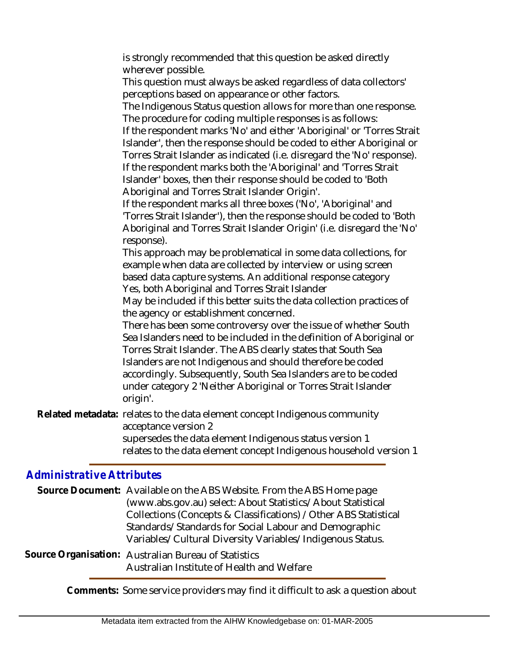is strongly recommended that this question be asked directly wherever possible.

This question must always be asked regardless of data collectors' perceptions based on appearance or other factors.

The Indigenous Status question allows for more than one response. The procedure for coding multiple responses is as follows:

If the respondent marks 'No' and either 'Aboriginal' or 'Torres Strait Islander', then the response should be coded to either Aboriginal or Torres Strait Islander as indicated (i.e. disregard the 'No' response).

If the respondent marks both the 'Aboriginal' and 'Torres Strait Islander' boxes, then their response should be coded to 'Both Aboriginal and Torres Strait Islander Origin'.

If the respondent marks all three boxes ('No', 'Aboriginal' and 'Torres Strait Islander'), then the response should be coded to 'Both Aboriginal and Torres Strait Islander Origin' (i.e. disregard the 'No' response).

This approach may be problematical in some data collections, for example when data are collected by interview or using screen based data capture systems. An additional response category Yes, both Aboriginal and Torres Strait Islander

May be included if this better suits the data collection practices of the agency or establishment concerned.

There has been some controversy over the issue of whether South Sea Islanders need to be included in the definition of Aboriginal or Torres Strait Islander. The ABS clearly states that South Sea Islanders are not Indigenous and should therefore be coded accordingly. Subsequently, South Sea Islanders are to be coded under category 2 'Neither Aboriginal or Torres Strait Islander origin'.

Related metadata: relates to the data element concept Indigenous community acceptance version 2

supersedes the data element Indigenous status version 1 relates to the data element concept Indigenous household version 1

## *Administrative Attributes*

|  | Source Document: Available on the ABS Website. From the ABS Home page |
|--|-----------------------------------------------------------------------|
|  | (www.abs.gov.au) select: About Statistics/About Statistical           |
|  | Collections (Concepts & Classifications) / Other ABS Statistical      |
|  | Standards/Standards for Social Labour and Demographic                 |
|  | Variables/Cultural Diversity Variables/Indigenous Status.             |
|  |                                                                       |

Source Organisation: Australian Bureau of Statistics Australian Institute of Health and Welfare

**Comments:** Some service providers may find it difficult to ask a question about